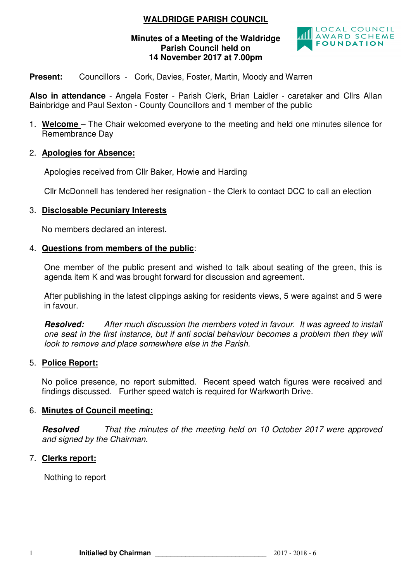## **WALDRIDGE PARISH COUNCIL**

#### **Minutes of a Meeting of the Waldridge Parish Council held on 14 November 2017 at 7.00pm**



#### **Present:** Councillors - Cork, Davies, Foster, Martin, Moody and Warren

**Also in attendance** - Angela Foster - Parish Clerk, Brian Laidler - caretaker and Cllrs Allan Bainbridge and Paul Sexton - County Councillors and 1 member of the public

1. **Welcome** – The Chair welcomed everyone to the meeting and held one minutes silence for Remembrance Day

## 2. **Apologies for Absence:**

Apologies received from Cllr Baker, Howie and Harding

Cllr McDonnell has tendered her resignation - the Clerk to contact DCC to call an election

## 3. **Disclosable Pecuniary Interests**

No members declared an interest.

#### 4. **Questions from members of the public**:

One member of the public present and wished to talk about seating of the green, this is agenda item K and was brought forward for discussion and agreement.

After publishing in the latest clippings asking for residents views, 5 were against and 5 were in favour.

**Resolved:** After much discussion the members voted in favour. It was agreed to install one seat in the first instance, but if anti social behaviour becomes a problem then they will look to remove and place somewhere else in the Parish.

#### 5. **Police Report:**

No police presence, no report submitted. Recent speed watch figures were received and findings discussed. Further speed watch is required for Warkworth Drive.

#### 6. **Minutes of Council meeting:**

**Resolved** That the minutes of the meeting held on 10 October 2017 were approved and signed by the Chairman.

#### 7. **Clerks report:**

Nothing to report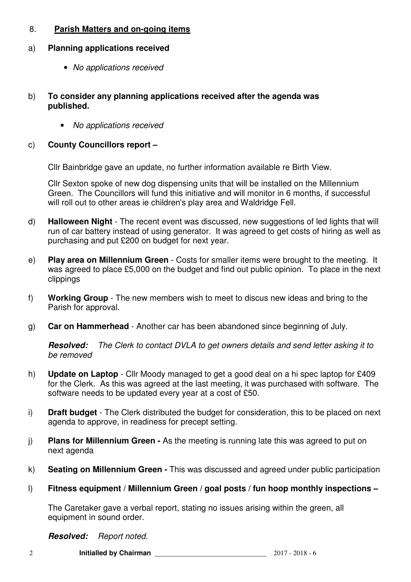## 8. **Parish Matters and on-going items**

## a) **Planning applications received**

- No applications received
- b) **To consider any planning applications received after the agenda was published.** 
	- No applications received

## c) **County Councillors report –**

Cllr Bainbridge gave an update, no further information available re Birth View.

Cllr Sexton spoke of new dog dispensing units that will be installed on the Millennium Green. The Councillors will fund this initiative and will monitor in 6 months, if successful will roll out to other areas ie children's play area and Waldridge Fell.

- d) **Halloween Night**  The recent event was discussed, new suggestions of led lights that will run of car battery instead of using generator. It was agreed to get costs of hiring as well as purchasing and put £200 on budget for next year.
- e) **Play area on Millennium Green**  Costs for smaller items were brought to the meeting. It was agreed to place £5,000 on the budget and find out public opinion. To place in the next clippings
- f) **Working Group** The new members wish to meet to discus new ideas and bring to the Parish for approval.
- g) **Car on Hammerhead** Another car has been abandoned since beginning of July.

**Resolved:** The Clerk to contact DVLA to get owners details and send letter asking it to be removed

- h) **Update on Laptop** Cllr Moody managed to get a good deal on a hi spec laptop for £409 for the Clerk. As this was agreed at the last meeting, it was purchased with software. The software needs to be updated every year at a cost of £50.
- i) **Draft budget** The Clerk distributed the budget for consideration, this to be placed on next agenda to approve, in readiness for precept setting.
- j) **Plans for Millennium Green -** As the meeting is running late this was agreed to put on next agenda
- k) **Seating on Millennium Green** This was discussed and agreed under public participation
- l) **Fitness equipment / Millennium Green / goal posts / fun hoop monthly inspections**

The Caretaker gave a verbal report, stating no issues arising within the green, all equipment in sound order.

**Resolved:** Report noted.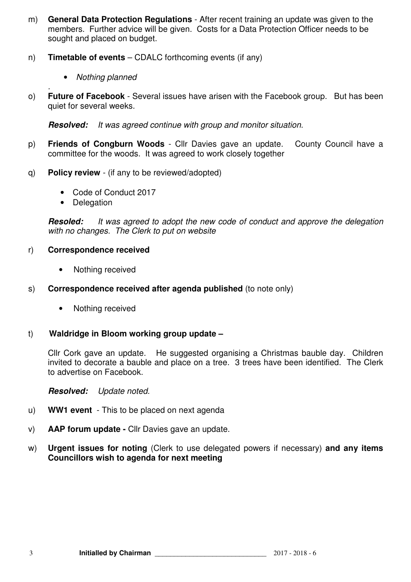- m) **General Data Protection Regulations** After recent training an update was given to the members. Further advice will be given. Costs for a Data Protection Officer needs to be sought and placed on budget.
- n) **Timetable of events** CDALC forthcoming events (if any)
	- Nothing planned
- . o) **Future of Facebook** - Several issues have arisen with the Facebook group. But has been quiet for several weeks.

**Resolved:** It was agreed continue with group and monitor situation.

- p) **Friends of Congburn Woods**  Cllr Davies gave an update. County Council have a committee for the woods. It was agreed to work closely together
- q) **Policy review**  (if any to be reviewed/adopted)
	- Code of Conduct 2017
	- Delegation

**Resoled:** It was agreed to adopt the new code of conduct and approve the delegation with no changes. The Clerk to put on website

- r) **Correspondence received** 
	- Nothing received
- s) **Correspondence received after agenda published** (to note only)
	- Nothing received

#### t) **Waldridge in Bloom working group update –**

Cllr Cork gave an update. He suggested organising a Christmas bauble day. Children invited to decorate a bauble and place on a tree. 3 trees have been identified. The Clerk to advertise on Facebook.

**Resolved:** Update noted.

- u) **WW1 event**  This to be placed on next agenda
- v) **AAP forum update** Cllr Davies gave an update.
- w) **Urgent issues for noting** (Clerk to use delegated powers if necessary) **and any items Councillors wish to agenda for next meeting**